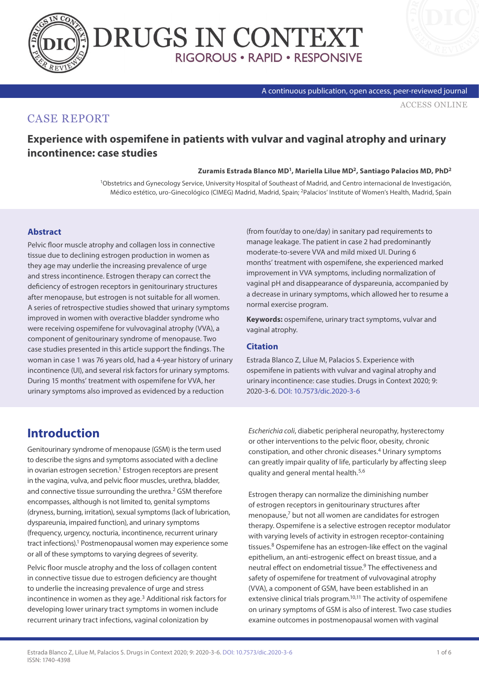



#### A continuous publication, open access, peer-reviewed journal

[ACCESS ONLINE](https://www.drugsincontext.com/experience-with-ospemifene-in-patients-with-vulvar-and-vaginal-atrophy-and-urinary-incontinence:-case-studies)

## CASE REPORT

## **Experience with ospemifene in patients with vulvar and vaginal atrophy and urinary incontinence: case studies**

#### **Zuramis Estrada Blanco MD1, Mariella Lilue MD2, Santiago Palacios MD, PhD2**

<sup>1</sup>Obstetrics and Gynecology Service, University Hospital of Southeast of Madrid, and Centro internacional de Investigación. Médico estético, uro-Ginecológico (CIMEG) Madrid, Madrid, Spain; 2Palacios' Institute of Women's Health, Madrid, Spain

### **Abstract**

Pelvic floor muscle atrophy and collagen loss in connective tissue due to declining estrogen production in women as they age may underlie the increasing prevalence of urge and stress incontinence. Estrogen therapy can correct the deficiency of estrogen receptors in genitourinary structures after menopause, but estrogen is not suitable for all women. A series of retrospective studies showed that urinary symptoms improved in women with overactive bladder syndrome who were receiving ospemifene for vulvovaginal atrophy (VVA), a component of genitourinary syndrome of menopause. Two case studies presented in this article support the findings. The woman in case 1 was 76 years old, had a 4-year history of urinary incontinence (UI), and several risk factors for urinary symptoms. During 15 months' treatment with ospemifene for VVA, her urinary symptoms also improved as evidenced by a reduction

(from four/day to one/day) in sanitary pad requirements to manage leakage. The patient in case 2 had predominantly moderate-to-severe VVA and mild mixed UI. During 6 months' treatment with ospemifene, she experienced marked improvement in VVA symptoms, including normalization of vaginal pH and disappearance of dyspareunia, accompanied by a decrease in urinary symptoms, which allowed her to resume a normal exercise program.

**Keywords:** ospemifene, urinary tract symptoms, vulvar and vaginal atrophy.

### **Citation**

Estrada Blanco Z, Lilue M, Palacios S. Experience with ospemifene in patients with vulvar and vaginal atrophy and urinary incontinence: case studies. Drugs in Context 2020; 9: 2020-3-6. [DOI: 10.7573/dic.2020-3-6](https://doi.org/10.7573/dic.2020-3-6)

# **Introduction**

Genitourinary syndrome of menopause (GSM) is the term used to describe the signs and symptoms associated with a decline in ovarian estrogen secretion.<sup>1</sup> Estrogen receptors are present in the vagina, vulva, and pelvic floor muscles, urethra, bladder, and connective tissue surrounding the urethra.<sup>2</sup> GSM therefore encompasses, although is not limited to, genital symptoms (dryness, burning, irritation), sexual symptoms (lack of lubrication, dyspareunia, impaired function), and urinary symptoms (frequency, urgency, nocturia, incontinence, recurrent urinary tract infections).<sup>1</sup> Postmenopausal women may experience some or all of these symptoms to varying degrees of severity.

Pelvic floor muscle atrophy and the loss of collagen content in connective tissue due to estrogen deficiency are thought to underlie the increasing prevalence of urge and stress incontinence in women as they age.<sup>3</sup> Additional risk factors for developing lower urinary tract symptoms in women include recurrent urinary tract infections, vaginal colonization by

*Escherichia coli*, diabetic peripheral neuropathy, hysterectomy or other interventions to the pelvic floor, obesity, chronic constipation, and other chronic diseases.4 Urinary symptoms can greatly impair quality of life, particularly by affecting sleep quality and general mental health.5,6

Estrogen therapy can normalize the diminishing number of estrogen receptors in genitourinary structures after menopause,7 but not all women are candidates for estrogen therapy. Ospemifene is a selective estrogen receptor modulator with varying levels of activity in estrogen receptor-containing tissues.8 Ospemifene has an estrogen-like effect on the vaginal epithelium, an anti-estrogenic effect on breast tissue, and a neutral effect on endometrial tissue.9 The effectiveness and safety of ospemifene for treatment of vulvovaginal atrophy (VVA), a component of GSM, have been established in an extensive clinical trials program.<sup>10,11</sup> The activity of ospemifene on urinary symptoms of GSM is also of interest. Two case studies examine outcomes in postmenopausal women with vaginal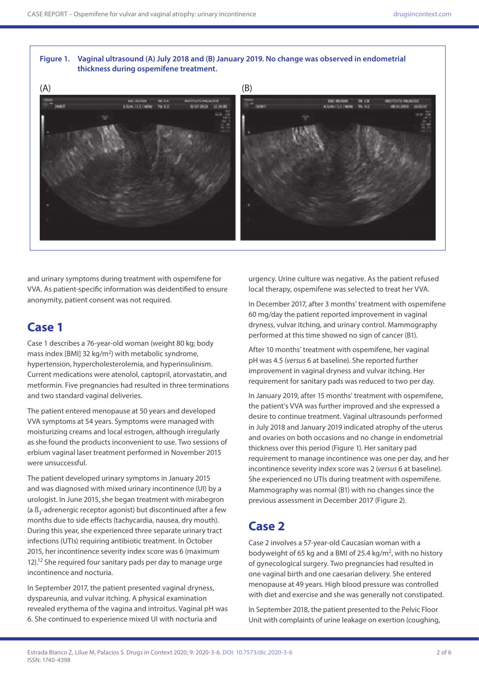### **Figure 1. Vaginal ultrasound (A) July 2018 and (B) January 2019. No change was observed in endometrial thickness during ospemifene treatment.**



and urinary symptoms during treatment with ospemifene for VVA. As patient-specific information was deidentified to ensure anonymity, patient consent was not required.

## **Case 1**

Case 1 describes a 76-year-old woman (weight 80 kg; body mass index [BMI] 32 kg/m<sup>2</sup>) with metabolic syndrome, hypertension, hypercholesterolemia, and hyperinsulinism. Current medications were atenolol, captopril, atorvastatin, and metformin. Five pregnancies had resulted in three terminations and two standard vaginal deliveries.

The patient entered menopause at 50 years and developed VVA symptoms at 54 years. Symptoms were managed with moisturizing creams and local estrogen, although irregularly as she found the products inconvenient to use. Two sessions of erbium vaginal laser treatment performed in November 2015 were unsuccessful.

The patient developed urinary symptoms in January 2015 and was diagnosed with mixed urinary incontinence (UI) by a urologist. In June 2015, she began treatment with mirabegron (a ß<sub>2</sub>-adrenergic receptor agonist) but discontinued after a few months due to side effects (tachycardia, nausea, dry mouth). During this year, she experienced three separate urinary tract infections (UTIs) requiring antibiotic treatment. In October 2015, her incontinence severity index score was 6 (maximum 12).12 She required four sanitary pads per day to manage urge incontinence and nocturia.

In September 2017, the patient presented vaginal dryness, dyspareunia, and vulvar itching. A physical examination revealed erythema of the vagina and introitus. Vaginal pH was 6. She continued to experience mixed UI with nocturia and

urgency. Urine culture was negative. As the patient refused local therapy, ospemifene was selected to treat her VVA.

In December 2017, after 3 months' treatment with ospemifene 60 mg/day the patient reported improvement in vaginal dryness, vulvar itching, and urinary control. Mammography performed at this time showed no sign of cancer (B1).

After 10 months' treatment with ospemifene, her vaginal pH was 4.5 (*versus* 6 at baseline). She reported further improvement in vaginal dryness and vulvar itching. Her requirement for sanitary pads was reduced to two per day.

In January 2019, after 15 months' treatment with ospemifene, the patient's VVA was further improved and she expressed a desire to continue treatment. Vaginal ultrasounds performed in July 2018 and January 2019 indicated atrophy of the uterus and ovaries on both occasions and no change in endometrial thickness over this period (Figure 1). Her sanitary pad requirement to manage incontinence was one per day, and her incontinence severity index score was 2 (*versus* 6 at baseline). She experienced no UTIs during treatment with ospemifene. Mammography was normal (B1) with no changes since the previous assessment in December 2017 (Figure 2).

# **Case 2**

Case 2 involves a 57-year-old Caucasian woman with a bodyweight of 65 kg and a BMI of 25.4 kg/m<sup>2</sup>, with no history of gynecological surgery. Two pregnancies had resulted in one vaginal birth and one caesarian delivery. She entered menopause at 49 years. High blood pressure was controlled with diet and exercise and she was generally not constipated.

In September 2018, the patient presented to the Pelvic Floor Unit with complaints of urine leakage on exertion (coughing,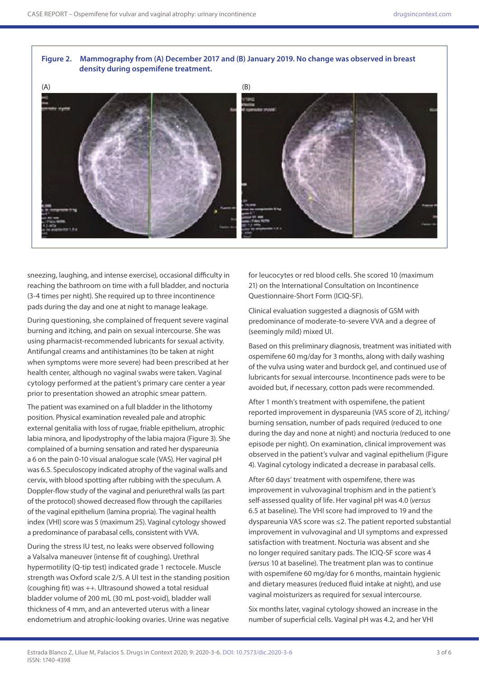#### **Figure 2. Mammography from (A) December 2017 and (B) January 2019. No change was observed in breast density during ospemifene treatment.**



sneezing, laughing, and intense exercise), occasional difficulty in reaching the bathroom on time with a full bladder, and nocturia (3-4 times per night). She required up to three incontinence pads during the day and one at night to manage leakage.

During questioning, she complained of frequent severe vaginal burning and itching, and pain on sexual intercourse. She was using pharmacist-recommended lubricants for sexual activity. Antifungal creams and antihistamines (to be taken at night when symptoms were more severe) had been prescribed at her health center, although no vaginal swabs were taken. Vaginal cytology performed at the patient's primary care center a year prior to presentation showed an atrophic smear pattern.

The patient was examined on a full bladder in the lithotomy position. Physical examination revealed pale and atrophic external genitalia with loss of rugae, friable epithelium, atrophic labia minora, and lipodystrophy of the labia majora (Figure 3). She complained of a burning sensation and rated her dyspareunia a 6 on the pain 0-10 visual analogue scale (VAS). Her vaginal pH was 6.5. Speculoscopy indicated atrophy of the vaginal walls and cervix, with blood spotting after rubbing with the speculum. A Doppler-flow study of the vaginal and periurethral walls (as part of the protocol) showed decreased flow through the capillaries of the vaginal epithelium (lamina propria). The vaginal health index (VHI) score was 5 (maximum 25). Vaginal cytology showed a predominance of parabasal cells, consistent with VVA.

During the stress IU test, no leaks were observed following a Valsalva maneuver (intense fit of coughing). Urethral hypermotility (Q-tip test) indicated grade 1 rectocele. Muscle strength was Oxford scale 2/5. A UI test in the standing position (coughing fit) was ++. Ultrasound showed a total residual bladder volume of 200 mL (30 mL post-void), bladder wall thickness of 4 mm, and an anteverted uterus with a linear endometrium and atrophic-looking ovaries. Urine was negative

for leucocytes or red blood cells. She scored 10 (maximum 21) on the International Consultation on Incontinence Questionnaire-Short Form (ICIQ-SF).

Clinical evaluation suggested a diagnosis of GSM with predominance of moderate-to-severe VVA and a degree of (seemingly mild) mixed UI.

Based on this preliminary diagnosis, treatment was initiated with ospemifene 60 mg/day for 3 months, along with daily washing of the vulva using water and burdock gel, and continued use of lubricants for sexual intercourse. Incontinence pads were to be avoided but, if necessary, cotton pads were recommended.

After 1 month's treatment with ospemifene, the patient reported improvement in dyspareunia (VAS score of 2), itching/ burning sensation, number of pads required (reduced to one during the day and none at night) and nocturia (reduced to one episode per night). On examination, clinical improvement was observed in the patient's vulvar and vaginal epithelium (Figure 4). Vaginal cytology indicated a decrease in parabasal cells.

After 60 days' treatment with ospemifene, there was improvement in vulvovaginal trophism and in the patient's self-assessed quality of life. Her vaginal pH was 4.0 (*versus* 6.5 at baseline). The VHI score had improved to 19 and the dyspareunia VAS score was ≤2. The patient reported substantial improvement in vulvovaginal and UI symptoms and expressed satisfaction with treatment. Nocturia was absent and she no longer required sanitary pads. The ICIQ-SF score was 4 (*versus* 10 at baseline). The treatment plan was to continue with ospemifene 60 mg/day for 6 months, maintain hygienic and dietary measures (reduced fluid intake at night), and use vaginal moisturizers as required for sexual intercourse.

Six months later, vaginal cytology showed an increase in the number of superficial cells. Vaginal pH was 4.2, and her VHI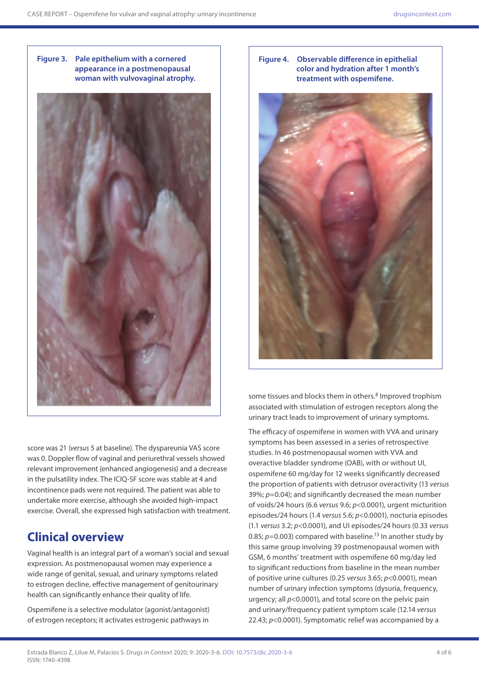



**Figure 4. Observable difference in epithelial color and hydration after 1 month's treatment with ospemifene.**



some tissues and blocks them in others.<sup>8</sup> Improved trophism associated with stimulation of estrogen receptors along the urinary tract leads to improvement of urinary symptoms.

The efficacy of ospemifene in women with VVA and urinary symptoms has been assessed in a series of retrospective studies. In 46 postmenopausal women with VVA and overactive bladder syndrome (OAB), with or without UI, ospemifene 60 mg/day for 12 weeks significantly decreased the proportion of patients with detrusor overactivity (13 *versus* 39%; *p*=0.04); and significantly decreased the mean number of voids/24 hours (6.6 *versus* 9.6; *p*<0.0001), urgent micturition episodes/24 hours (1.4 *versus* 5.6; *p*<0.0001), nocturia episodes (1.1 *versus* 3.2; *p*<0.0001), and UI episodes/24 hours (0.33 *versus*  0.85; *p*=0.003) compared with baseline.<sup>13</sup> In another study by this same group involving 39 postmenopausal women with GSM, 6 months' treatment with ospemifene 60 mg/day led to significant reductions from baseline in the mean number of positive urine cultures (0.25 *versus* 3.65; *p*<0.0001), mean number of urinary infection symptoms (dysuria, frequency, urgency; all *p*<0.0001), and total score on the pelvic pain and urinary/frequency patient symptom scale (12.14 *versus* 22.43; *p*<0.0001). Symptomatic relief was accompanied by a

score was 21 (*versus* 5 at baseline). The dyspareunia VAS score was 0. Doppler flow of vaginal and periurethral vessels showed relevant improvement (enhanced angiogenesis) and a decrease in the pulsatility index. The ICIQ-SF score was stable at 4 and incontinence pads were not required. The patient was able to undertake more exercise, although she avoided high-impact exercise. Overall, she expressed high satisfaction with treatment.

# **Clinical overview**

Vaginal health is an integral part of a woman's social and sexual expression. As postmenopausal women may experience a wide range of genital, sexual, and urinary symptoms related to estrogen decline, effective management of genitourinary health can significantly enhance their quality of life.

Ospemifene is a selective modulator (agonist/antagonist) of estrogen receptors; it activates estrogenic pathways in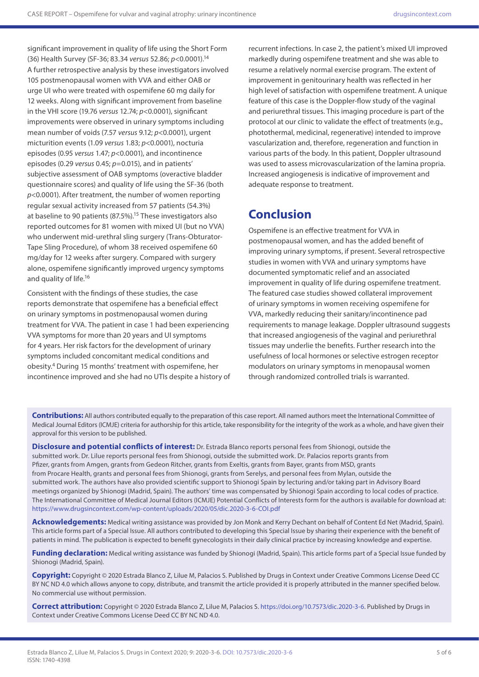significant improvement in quality of life using the Short Form (36) Health Survey (SF-36; 83.34 *versus* 52.86; *p*<0.0001).14 A further retrospective analysis by these investigators involved 105 postmenopausal women with VVA and either OAB or urge UI who were treated with ospemifene 60 mg daily for 12 weeks. Along with significant improvement from baseline in the VHI score (19.76 *versus* 12.74; *p*<0.0001), significant improvements were observed in urinary symptoms including mean number of voids (7.57 *versus* 9.12; *p*<0.0001), urgent micturition events (1.09 *versus* 1.83; *p*<0.0001), nocturia episodes (0.95 *versus* 1.47; *p*<0.0001), and incontinence episodes (0.29 *versus* 0.45; *p*=0.015), and in patients' subjective assessment of OAB symptoms (overactive bladder questionnaire scores) and quality of life using the SF-36 (both *p*<0.0001). After treatment, the number of women reporting regular sexual activity increased from 57 patients (54.3%) at baseline to 90 patients (87.5%).<sup>15</sup> These investigators also reported outcomes for 81 women with mixed UI (but no VVA) who underwent mid-urethral sling surgery (Trans-Obturator-Tape Sling Procedure), of whom 38 received ospemifene 60 mg/day for 12 weeks after surgery. Compared with surgery alone, ospemifene significantly improved urgency symptoms and quality of life.<sup>16</sup>

Consistent with the findings of these studies, the case reports demonstrate that ospemifene has a beneficial effect on urinary symptoms in postmenopausal women during treatment for VVA. The patient in case 1 had been experiencing VVA symptoms for more than 20 years and UI symptoms for 4 years. Her risk factors for the development of urinary symptoms included concomitant medical conditions and obesity.4 During 15 months' treatment with ospemifene, her incontinence improved and she had no UTIs despite a history of

recurrent infections. In case 2, the patient's mixed UI improved markedly during ospemifene treatment and she was able to resume a relatively normal exercise program. The extent of improvement in genitourinary health was reflected in her high level of satisfaction with ospemifene treatment. A unique feature of this case is the Doppler-flow study of the vaginal and periurethral tissues. This imaging procedure is part of the protocol at our clinic to validate the effect of treatments (e.g., photothermal, medicinal, regenerative) intended to improve vascularization and, therefore, regeneration and function in various parts of the body. In this patient, Doppler ultrasound was used to assess microvascularization of the lamina propria. Increased angiogenesis is indicative of improvement and adequate response to treatment.

# **Conclusion**

Ospemifene is an effective treatment for VVA in postmenopausal women, and has the added benefit of improving urinary symptoms, if present. Several retrospective studies in women with VVA and urinary symptoms have documented symptomatic relief and an associated improvement in quality of life during ospemifene treatment. The featured case studies showed collateral improvement of urinary symptoms in women receiving ospemifene for VVA, markedly reducing their sanitary/incontinence pad requirements to manage leakage. Doppler ultrasound suggests that increased angiogenesis of the vaginal and periurethral tissues may underlie the benefits. Further research into the usefulness of local hormones or selective estrogen receptor modulators on urinary symptoms in menopausal women through randomized controlled trials is warranted.

**Contributions:** All authors contributed equally to the preparation of this case report. All named authors meet the International Committee of Medical Journal Editors (ICMJE) criteria for authorship for this article, take responsibility for the integrity of the work as a whole, and have given their approval for this version to be published.

**Disclosure and potential conflicts of interest:** Dr. Estrada Blanco reports personal fees from Shionogi, outside the submitted work. Dr. Lilue reports personal fees from Shionogi, outside the submitted work. Dr. Palacios reports grants from Pfizer, grants from Amgen, grants from Gedeon Ritcher, grants from Exeltis, grants from Bayer, grants from MSD, grants from Procare Health, grants and personal fees from Shionogi, grants from Serelys, and personal fees from Mylan, outside the submitted work. The authors have also provided scientific support to Shionogi Spain by lecturing and/or taking part in Advisory Board meetings organized by Shionogi (Madrid, Spain). The authors' time was compensated by Shionogi Spain according to local codes of practice. The International Committee of Medical Journal Editors (ICMJE) Potential Conflicts of Interests form for the authors is available for download at: <https://www.drugsincontext.com/wp-content/uploads/2020/05/dic.2020-3-6-COI.pdf>

**Acknowledgements:** Medical writing assistance was provided by Jon Monk and Kerry Dechant on behalf of Content Ed Net (Madrid, Spain). This article forms part of a Special Issue. All authors contributed to developing this Special Issue by sharing their experience with the benefit of patients in mind. The publication is expected to benefit gynecologists in their daily clinical practice by increasing knowledge and expertise.

Funding declaration: Medical writing assistance was funded by Shionogi (Madrid, Spain). This article forms part of a Special Issue funded by Shionogi (Madrid, Spain).

**Copyright:** Copyright © 2020 Estrada Blanco Z, Lilue M, Palacios S. Published by Drugs in Context under Creative Commons License Deed CC BY NC ND 4.0 which allows anyone to copy, distribute, and transmit the article provided it is properly attributed in the manner specified below. No commercial use without permission.

**Correct attribution:** Copyright © 2020 Estrada Blanco Z, Lilue M, Palacios S. [https://doi.org/10.7573/dic.2020-3-6.](https://doi.org/10.7573/dic.2020-3-6) Published by Drugs in Context under Creative Commons License Deed CC BY NC ND 4.0.